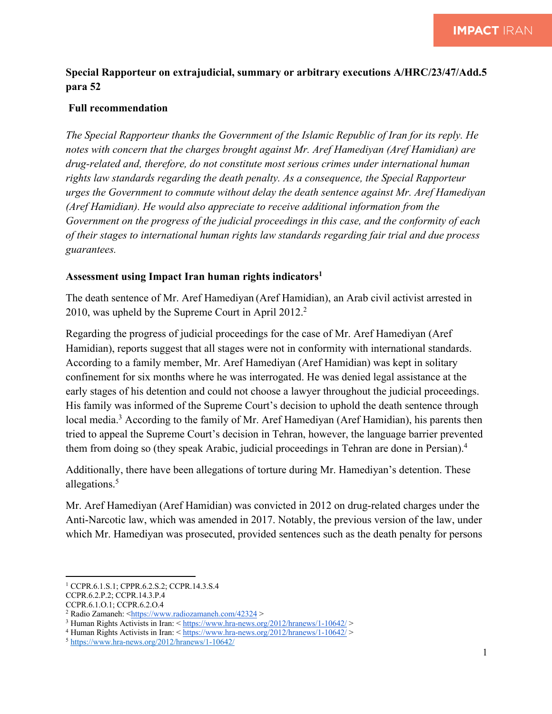## **Special Rapporteur on extrajudicial, summary or arbitrary executions A/HRC/23/47/Add.5 para 52**

## **Full recommendation**

*The Special Rapporteur thanks the Government of the Islamic Republic of Iran for its reply. He notes with concern that the charges brought against Mr. Aref Hamediyan (Aref Hamidian) are drug-related and, therefore, do not constitute most serious crimes under international human rights law standards regarding the death penalty. As a consequence, the Special Rapporteur urges the Government to commute without delay the death sentence against Mr. Aref Hamediyan (Aref Hamidian). He would also appreciate to receive additional information from the Government on the progress of the judicial proceedings in this case, and the conformity of each of their stages to international human rights law standards regarding fair trial and due process guarantees.* 

## **Assessment using Impact Iran human rights indicators1**

The death sentence of Mr. Aref Hamediyan (Aref Hamidian), an Arab civil activist arrested in 2010, was upheld by the Supreme Court in April 2012.<sup>2</sup>

Regarding the progress of judicial proceedings for the case of Mr. Aref Hamediyan (Aref Hamidian), reports suggest that all stages were not in conformity with international standards. According to a family member, Mr. Aref Hamediyan (Aref Hamidian) was kept in solitary confinement for six months where he was interrogated. He was denied legal assistance at the early stages of his detention and could not choose a lawyer throughout the judicial proceedings. His family was informed of the Supreme Court's decision to uphold the death sentence through local media.<sup>3</sup> According to the family of Mr. Aref Hamediyan (Aref Hamidian), his parents then tried to appeal the Supreme Court's decision in Tehran, however, the language barrier prevented them from doing so (they speak Arabic, judicial proceedings in Tehran are done in Persian).4

Additionally, there have been allegations of torture during Mr. Hamediyan's detention. These allegations. 5

Mr. Aref Hamediyan (Aref Hamidian) was convicted in 2012 on drug-related charges under the Anti-Narcotic law, which was amended in 2017. Notably, the previous version of the law, under which Mr. Hamediyan was prosecuted, provided sentences such as the death penalty for persons

<sup>1</sup> CCPR.6.1.S.1; CPPR.6.2.S.2; CCPR.14.3.S.4

CCPR.6.2.P.2; CCPR.14.3.P.4

CCPR.6.1.O.1; CCPR.6.2.O.4

<sup>2</sup> Radio Zamaneh: <https://www.radiozamaneh.com/42324 >

<sup>3</sup> Human Rights Activists in Iran: < https://www.hra-news.org/2012/hranews/1-10642/ >

 $4$  Human Rights Activists in Iran: < https://www.hra-news.org/2012/hranews/1-10642/ >

<sup>5</sup> https://www.hra-news.org/2012/hranews/1-10642/